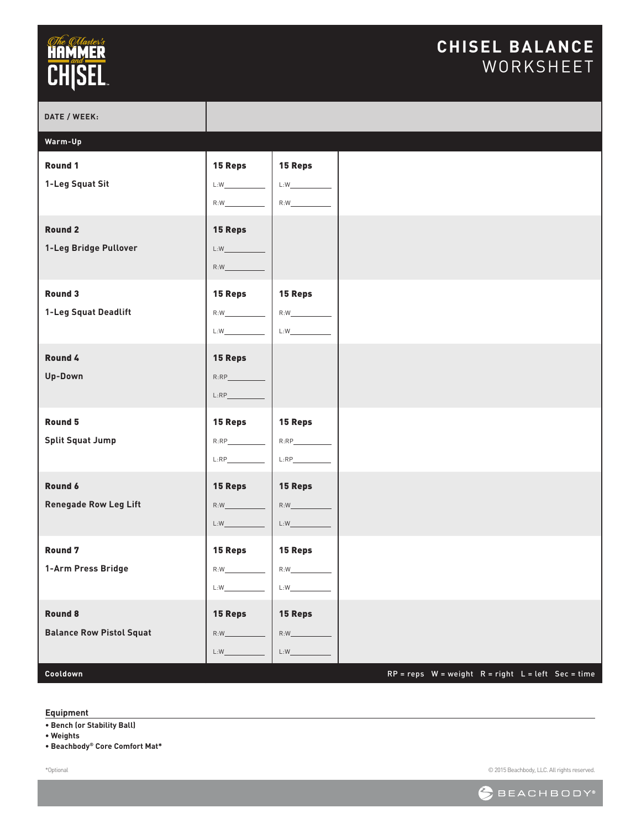### **CHISEL BALANCE** WORKSHEET

| Warm-Up<br>Round 1<br><b>15 Reps</b><br>15 Reps<br>1-Leg Squat Sit<br>L:W<br>L:W<br>R:W<br>R:W<br><b>Round 2</b><br>15 Reps<br>1-Leg Bridge Pullover<br>$L:W$ and $\overline{C}$<br>R:W<br>Round 3<br>15 Reps<br>15 Reps<br>1-Leg Squat Deadlift<br>R:W<br>R:W<br>$L:W \_\_$<br>$L:W$                                                                                                                                                                     | DATE / WEEK: |                                                          |
|-----------------------------------------------------------------------------------------------------------------------------------------------------------------------------------------------------------------------------------------------------------------------------------------------------------------------------------------------------------------------------------------------------------------------------------------------------------|--------------|----------------------------------------------------------|
|                                                                                                                                                                                                                                                                                                                                                                                                                                                           |              |                                                          |
|                                                                                                                                                                                                                                                                                                                                                                                                                                                           |              |                                                          |
|                                                                                                                                                                                                                                                                                                                                                                                                                                                           |              |                                                          |
|                                                                                                                                                                                                                                                                                                                                                                                                                                                           |              |                                                          |
| Round 4<br><b>15 Reps</b><br>Up-Down<br>R:RP<br>L:RP                                                                                                                                                                                                                                                                                                                                                                                                      |              |                                                          |
| Round 5<br>15 Reps<br><b>15 Reps</b><br><b>Split Squat Jump</b><br>$L:RP$                                                                                                                                                                                                                                                                                                                                                                                 |              |                                                          |
| Round 6<br><b>15 Reps</b><br>15 Reps<br><b>Renegade Row Leg Lift</b><br>R:W<br>R:W<br>$L:W \underline{\hspace{1.5cm}} \begin{picture}(10,10) \put(0,0){\line(1,0){10}} \put(10,0){\line(1,0){10}} \put(10,0){\line(1,0){10}} \put(10,0){\line(1,0){10}} \put(10,0){\line(1,0){10}} \put(10,0){\line(1,0){10}} \put(10,0){\line(1,0){10}} \put(10,0){\line(1,0){10}} \put(10,0){\line(1,0){10}} \put(10,0){\line(1,0){10}} \put(10,0){\line(1,0){1$<br>L:W |              |                                                          |
| <b>Round 7</b><br>15 Reps<br><b>15 Reps</b><br>1-Arm Press Bridge<br>R:W<br>R:W<br>$L:W$ and $\overline{\phantom{a}}$<br>$L:W$ . The contract of $L:W$                                                                                                                                                                                                                                                                                                    |              |                                                          |
| Round 8<br>15 Reps<br>15 Reps<br><b>Balance Row Pistol Squat</b><br>R:W<br>$L:W \qquad \qquad \overbrace{\rule{2.8cm}{0pt}}$<br>L:W<br>Cooldown                                                                                                                                                                                                                                                                                                           |              | $RP = reps$ W = weight $R = right$ L = left $Sec = time$ |

#### **Equipment**

**• Bench (or Stability Ball)**

**• Weights**

**• Beachbody® Core Comfort Mat\***

\*Optional

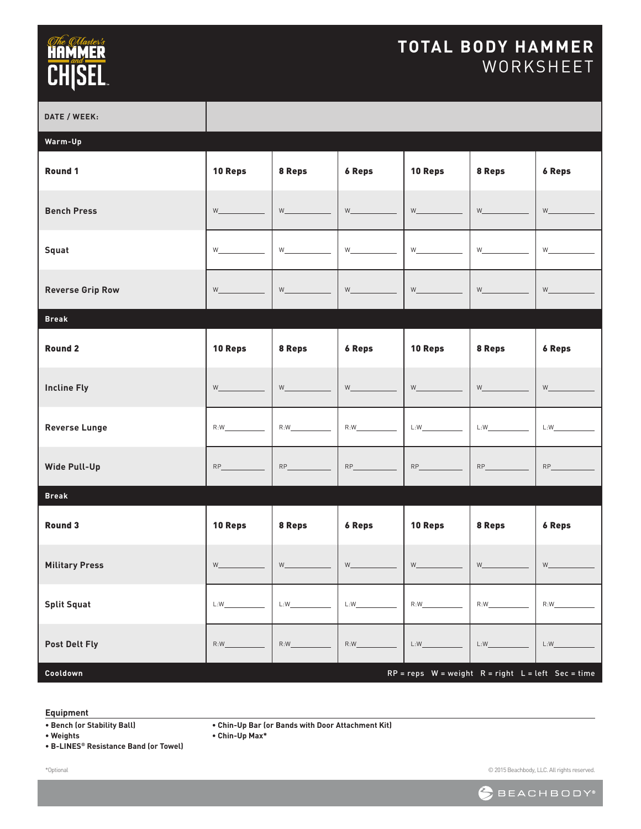### **TOTAL BODY HAMMER** WORKSHEET

| DATE / WEEK:            |             |                                          |               |             |                                                        |                             |
|-------------------------|-------------|------------------------------------------|---------------|-------------|--------------------------------------------------------|-----------------------------|
| Warm-Up                 |             |                                          |               |             |                                                        |                             |
| Round 1                 | 10 Reps     | 8 Reps                                   | <b>6 Reps</b> | 10 Reps     | 8 Reps                                                 | <b>6 Reps</b>               |
| <b>Bench Press</b>      | W <b>W</b>  | W                                        | W             | <b>W</b>    | <b>W</b>                                               | $W$ and $W$                 |
| Squat                   | <b>W</b>    | W_                                       | W             | W_          | <b>W</b>                                               | $W$ and $W$ and $W$ and $W$ |
| <b>Reverse Grip Row</b> | $W$ and $W$ | $W_\underline{\hspace{2mm}}$             | W             | $W_{-}$     |                                                        | $W$ and $W$                 |
| <b>Break</b>            |             |                                          |               |             |                                                        |                             |
| <b>Round 2</b>          | 10 Reps     | 8 Reps                                   | <b>6 Reps</b> | 10 Reps     | 8 Reps                                                 | <b>6 Reps</b>               |
| <b>Incline Fly</b>      | W <b>W</b>  | $W_{\underline{\phantom{A}}\phantom{A}}$ | W             | W           | <b>W</b>                                               | W                           |
| <b>Reverse Lunge</b>    | R:W         | R:W                                      | R:W           | L:W         | L:W                                                    | L:W                         |
| <b>Wide Pull-Up</b>     | RP          | RP                                       | RP            | $RP_$       | RP                                                     | RP                          |
| <b>Break</b>            |             |                                          |               |             |                                                        |                             |
| Round 3                 | 10 Reps     | 8 Reps                                   | <b>6 Reps</b> | 10 Reps     | 8 Reps                                                 | <b>6 Reps</b>               |
| <b>Military Press</b>   | $W$ and $W$ |                                          | $W_{\perp}$   | $W_{\perp}$ | $W_{-}$                                                |                             |
| <b>Split Squat</b>      | L:W         | L:W                                      | L:W           | R:W         |                                                        | R:W                         |
| <b>Post Delt Fly</b>    | R:W         | R:W                                      | R:W           | L:W         | L:W                                                    | L:W                         |
| Cooldown                |             |                                          |               |             | $RP = reps$ W = weight $R = right$ L = left Sec = time |                             |

#### **Equipment**

**• Chin-Up Bar (or Bands with Door Attachment Kit)**

**• Chin-Up Max\***

**• Bench (or Stability Ball) • Weights**

**• B-LINES® Resistance Band (or Towel)**

\*Optional

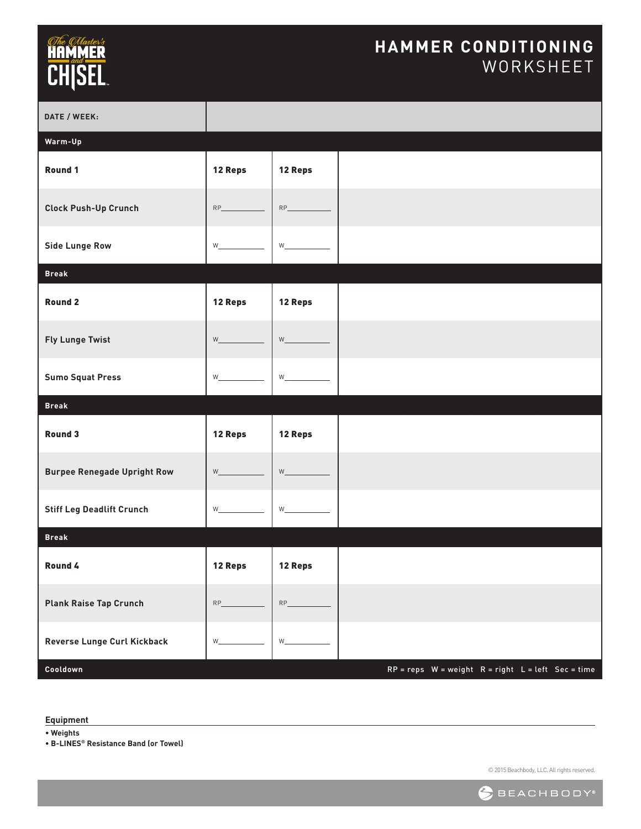#### **HAMMER CONDITIONING** WORKSHEET

| DATE / WEEK:                       |                                                                                                                                                                                                                                                           |                                           |                                                        |  |
|------------------------------------|-----------------------------------------------------------------------------------------------------------------------------------------------------------------------------------------------------------------------------------------------------------|-------------------------------------------|--------------------------------------------------------|--|
| Warm-Up                            |                                                                                                                                                                                                                                                           |                                           |                                                        |  |
| Round 1                            | 12 Reps                                                                                                                                                                                                                                                   | 12 Reps                                   |                                                        |  |
| <b>Clock Push-Up Crunch</b>        | $RP$ and $RP$ and $RP$ and $RP$ and $RP$ and $RP$ and $RP$ and $RP$ and $RP$ and $RP$ and $RP$ and $RP$ and $RP$ and $RP$ and $RP$ and $RP$ and $RP$ and $RP$ and $RP$ and $RP$ and $RP$ and $RP$ and $RP$ and $RP$ and $RP$ and $RP$ and $RP$ and $RP$ a | RP                                        |                                                        |  |
| <b>Side Lunge Row</b>              | $W$ and $W$                                                                                                                                                                                                                                               | $W$ and $W$                               |                                                        |  |
| <b>Break</b>                       |                                                                                                                                                                                                                                                           |                                           |                                                        |  |
| <b>Round 2</b>                     | 12 Reps                                                                                                                                                                                                                                                   | 12 Reps                                   |                                                        |  |
| <b>Fly Lunge Twist</b>             |                                                                                                                                                                                                                                                           | $W$ and $W$                               |                                                        |  |
| <b>Sumo Squat Press</b>            |                                                                                                                                                                                                                                                           | $W_{\underline{\hspace{1cm}}\phantom{1}}$ |                                                        |  |
| <b>Break</b>                       |                                                                                                                                                                                                                                                           |                                           |                                                        |  |
| Round 3                            | 12 Reps                                                                                                                                                                                                                                                   | 12 Reps                                   |                                                        |  |
| <b>Burpee Renegade Upright Row</b> | $W$ and $W$                                                                                                                                                                                                                                               | $W$ and $W$                               |                                                        |  |
| <b>Stiff Leg Deadlift Crunch</b>   | $W$ and $W$                                                                                                                                                                                                                                               | $W$ and $W$                               |                                                        |  |
| <b>Break</b>                       |                                                                                                                                                                                                                                                           |                                           |                                                        |  |
| Round 4                            | 12 Reps                                                                                                                                                                                                                                                   | 12 Reps                                   |                                                        |  |
| <b>Plank Raise Tap Crunch</b>      |                                                                                                                                                                                                                                                           | RP                                        |                                                        |  |
| Reverse Lunge Curl Kickback        | $W_{\underline{\phantom{A}}\phantom{A}}$                                                                                                                                                                                                                  | $W_{-}$                                   |                                                        |  |
| Cooldown                           |                                                                                                                                                                                                                                                           |                                           | $RP = reps$ W = weight $R = right$ L = left Sec = time |  |

**Equipment**

**• Weights**

**• B-LINES® Resistance Band (or Towel)**

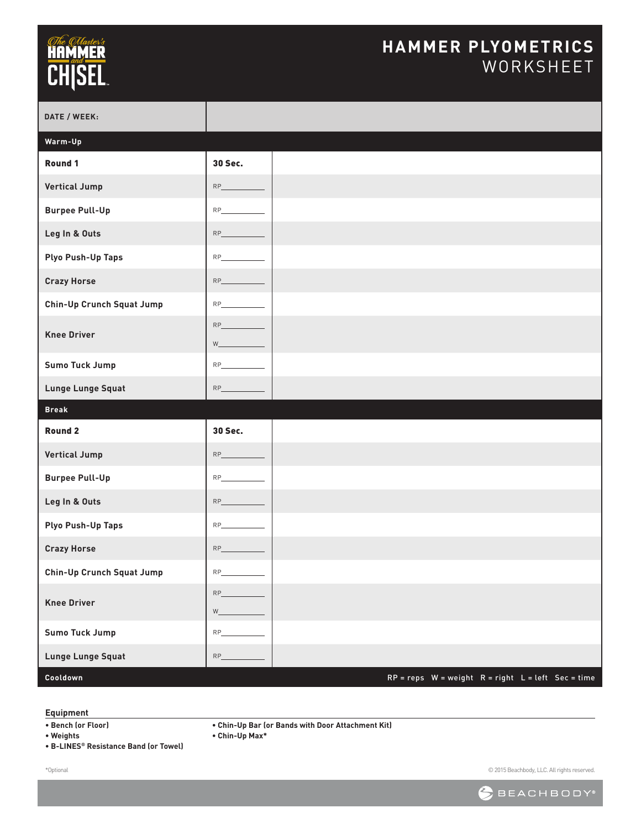#### **HAMMER PLYOMETRICS** WORKSHEET

| DATE / WEEK:                     |                                                                                                                                                                                                                                           |  |
|----------------------------------|-------------------------------------------------------------------------------------------------------------------------------------------------------------------------------------------------------------------------------------------|--|
| Warm-Up                          |                                                                                                                                                                                                                                           |  |
| Round 1                          | 30 Sec.                                                                                                                                                                                                                                   |  |
| <b>Vertical Jump</b>             | $RP$ $\qquad$                                                                                                                                                                                                                             |  |
| <b>Burpee Pull-Up</b>            |                                                                                                                                                                                                                                           |  |
| Leg In & Outs                    |                                                                                                                                                                                                                                           |  |
| <b>Plyo Push-Up Taps</b>         | RP                                                                                                                                                                                                                                        |  |
| <b>Crazy Horse</b>               | $RP$ $\qquad$                                                                                                                                                                                                                             |  |
| Chin-Up Crunch Squat Jump        | RP                                                                                                                                                                                                                                        |  |
| <b>Knee Driver</b>               | RP<br><b>W</b> and the set of the set of the set of the set of the set of the set of the set of the set of the set of the set of the set of the set of the set of the set of the set of the set of the set of the set of the set of the s |  |
| Sumo Tuck Jump                   | RP                                                                                                                                                                                                                                        |  |
| <b>Lunge Lunge Squat</b>         | RP                                                                                                                                                                                                                                        |  |
| <b>Break</b>                     |                                                                                                                                                                                                                                           |  |
| <b>Round 2</b>                   | 30 Sec.                                                                                                                                                                                                                                   |  |
| <b>Vertical Jump</b>             | RP                                                                                                                                                                                                                                        |  |
| <b>Burpee Pull-Up</b>            | RP                                                                                                                                                                                                                                        |  |
| Leg In & Outs                    |                                                                                                                                                                                                                                           |  |
|                                  | $RP_$                                                                                                                                                                                                                                     |  |
| <b>Plyo Push-Up Taps</b>         | RP                                                                                                                                                                                                                                        |  |
| <b>Crazy Horse</b>               | RP                                                                                                                                                                                                                                        |  |
| <b>Chin-Up Crunch Squat Jump</b> | RP                                                                                                                                                                                                                                        |  |
| <b>Knee Driver</b>               | $W_{-}$                                                                                                                                                                                                                                   |  |
| Sumo Tuck Jump                   |                                                                                                                                                                                                                                           |  |
| Lunge Lunge Squat                |                                                                                                                                                                                                                                           |  |

#### **Equipment**

**• Chin-Up Bar (or Bands with Door Attachment Kit)**

**• Chin-Up Max\***

**• Bench (or Floor) • Weights**

**• B-LINES® Resistance Band (or Towel)**

\*Optional

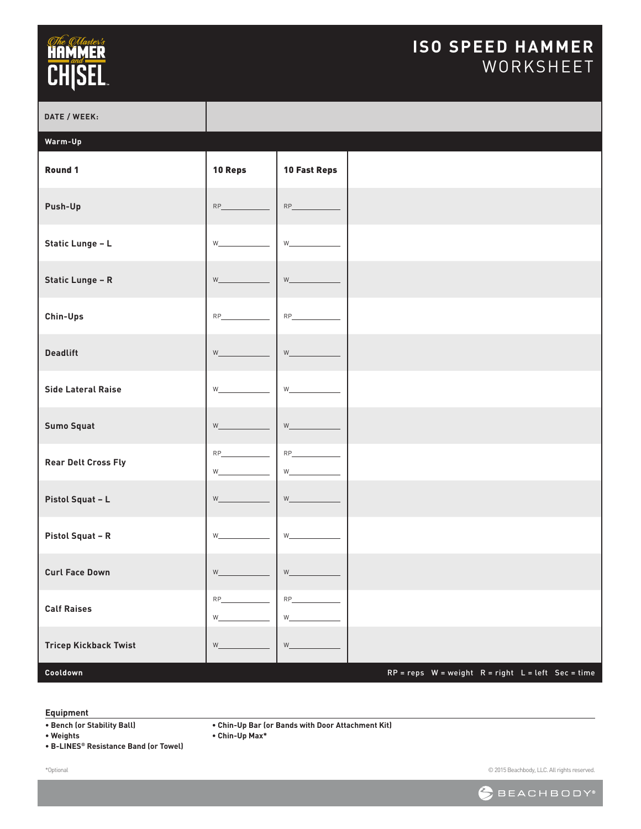## *<i><u>CHe CHaster's*</u><br>**HAMMER**<br>CH|SEL

### **ISO SPEED HAMMER** WORKSHEET

| DATE / WEEK:                 |                                                                                                                                                                                                                                                                                          |                                                                       |                                                        |
|------------------------------|------------------------------------------------------------------------------------------------------------------------------------------------------------------------------------------------------------------------------------------------------------------------------------------|-----------------------------------------------------------------------|--------------------------------------------------------|
| Warm-Up                      |                                                                                                                                                                                                                                                                                          |                                                                       |                                                        |
| Round 1                      | 10 Reps                                                                                                                                                                                                                                                                                  | <b>10 Fast Reps</b>                                                   |                                                        |
| Push-Up                      | $RP_$                                                                                                                                                                                                                                                                                    |                                                                       |                                                        |
| Static Lunge - L             | <b>W</b>                                                                                                                                                                                                                                                                                 | $W_{\perp}$ and $W_{\perp}$                                           |                                                        |
| <b>Static Lunge - R</b>      | <b>William</b>                                                                                                                                                                                                                                                                           | $W_$ and $W_$                                                         |                                                        |
| Chin-Ups                     | RP and the state of the state of the state of the state of the state of the state of the state of the state of the state of the state of the state of the state of the state of the state of the state of the state of the sta                                                           |                                                                       |                                                        |
| <b>Deadlift</b>              | $W_{-}$                                                                                                                                                                                                                                                                                  | $W_{\underline{\hspace{1cm}}\phantom{\begin{array}{l}1} \end{array}}$ |                                                        |
| <b>Side Lateral Raise</b>    | $W_{\perp}$ and $W_{\perp}$                                                                                                                                                                                                                                                              |                                                                       |                                                        |
| <b>Sumo Squat</b>            | $W_{-}$                                                                                                                                                                                                                                                                                  | $W_{\underline{\phantom{A}}\phantom{A}}$                              |                                                        |
| <b>Rear Delt Cross Fly</b>   | $RP$ and $RP$ and $RP$ and $RP$ and $RP$ and $RP$ and $RP$ and $RP$ and $RP$ and $RP$ and $RP$ and $RP$ and $RP$ and $RP$ and $RP$ and $RP$ and $RP$ and $RP$ and $RP$ and $RP$ and $RP$ and $RP$ and $RP$ and $RP$ and $RP$ and $RP$ and $RP$ and $RP$ a<br>W                           | $W_$                                                                  |                                                        |
| Pistol Squat - L             | $W_{-}$                                                                                                                                                                                                                                                                                  |                                                                       |                                                        |
| Pistol Squat - R             | <b>W</b>                                                                                                                                                                                                                                                                                 | $W_{\perp}$ and $W_{\perp}$                                           |                                                        |
| <b>Curl Face Down</b>        | $\mathsf{W}_{\_}$                                                                                                                                                                                                                                                                        | $\mathsf{W}_{\underline{\textcolor{red}{\mathsf{w}}}}$                |                                                        |
| <b>Calf Raises</b>           | $RP$ and $RP$ and $RP$ and $RP$ and $RP$ and $RP$ and $RP$ and $RP$ and $RP$ and $RP$ and $RP$ and $RP$ and $RP$ and $RP$ and $RP$ and $RP$ and $RP$ and $RP$ and $RP$ and $RP$ and $RP$ and $RP$ and $RP$ and $RP$ and $RP$ and $RP$ and $RP$ and $RP$ a<br>$W_{\perp}$ and $W_{\perp}$ | $RP \underline{\hspace{2cm}}$                                         |                                                        |
| <b>Tricep Kickback Twist</b> | $W_{\underline{\hspace{1cm}}\phantom{\begin{array}{l}1} \end{array}}$                                                                                                                                                                                                                    | W                                                                     |                                                        |
| Cooldown                     |                                                                                                                                                                                                                                                                                          |                                                                       | $RP = reps$ W = weight $R = right$ L = left Sec = time |

#### **Equipment**

**• Chin-Up Bar (or Bands with Door Attachment Kit)**

**• Chin-Up Max\***

- **Bench (or Stability Ball) • Weights**
- **B-LINES® Resistance Band (or Towel)**

\*Optional

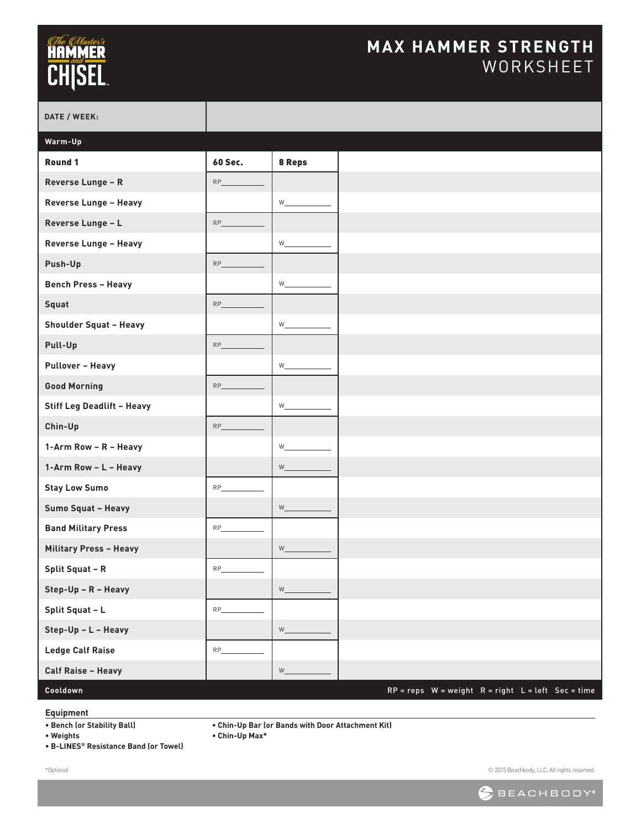### **MAX HAMMER STRENGTH** WORKSHEET

| DATE / WEEK:                      |                |                    |
|-----------------------------------|----------------|--------------------|
| Warm-Up                           |                |                    |
| Round 1                           | <b>60 Sec.</b> | 8 Reps             |
| Reverse Lunge - R                 | RP             |                    |
| Reverse Lunge - Heavy             |                |                    |
| Reverse Lunge - L                 | $RP_$          |                    |
| Reverse Lunge - Heavy             |                | W                  |
| Push-Up                           | $RP_$          |                    |
| <b>Bench Press - Heavy</b>        |                | W                  |
| Squat                             | RP             |                    |
| <b>Shoulder Squat - Heavy</b>     |                |                    |
| Pull-Up                           | $RP_$          |                    |
| <b>Pullover - Heavy</b>           |                | $W_{\_\_\_\_\$     |
| <b>Good Morning</b>               | $RP_$          |                    |
| <b>Stiff Leg Deadlift - Heavy</b> |                | W                  |
| Chin-Up                           | $RP_$          |                    |
| 1-Arm Row - R - Heavy             |                | W                  |
| 1-Arm Row - L - Heavy             |                | $W_{-}$            |
| <b>Stay Low Sumo</b>              | $RP_$          |                    |
| Sumo Squat - Heavy                |                | $W$ <sub>___</sub> |
| <b>Band Military Press</b>        | <b>RP</b>      |                    |
| <b>Military Press - Heavy</b>     |                | W                  |
| <b>Split Squat - R</b>            | <b>RP</b>      |                    |
| Step-Up - R - Heavy               |                |                    |
| Split Squat - L                   | $RP_$          |                    |
| Step-Up - L - Heavy               |                | $W_{\_\_\_\_\}$    |
| <b>Ledge Calf Raise</b>           | <b>RP</b>      |                    |
| <b>Calf Raise - Heavy</b>         |                | $W_{-}$            |
| Cooldown                          |                |                    |

#### **Equipment**

**• Bench (or Stability Ball)**

**• Chin-Up Bar (or Bands with Door Attachment Kit)**

**• Chin-Up Max\***

**• Weights**

**• B-LINES® Resistance Band (or Towel)**

\*Optional

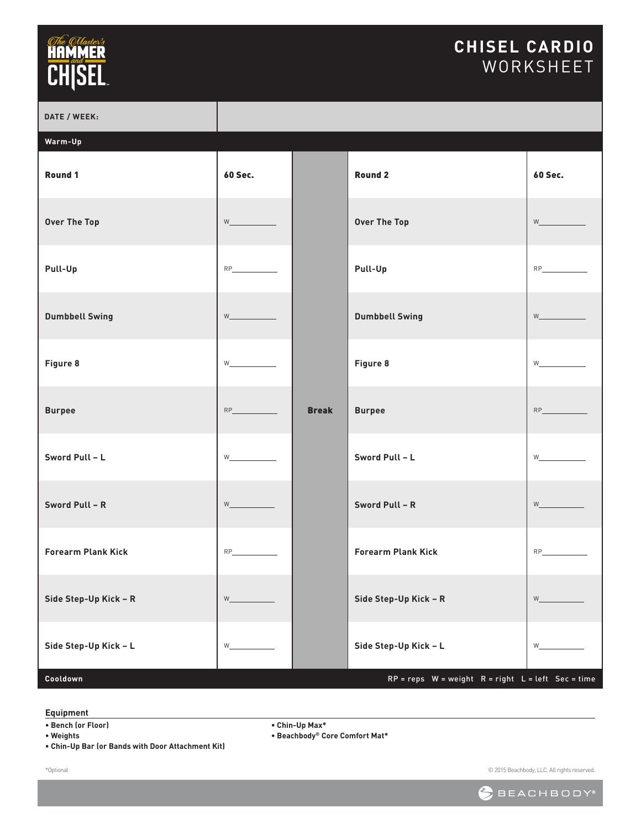### **CHISEL CARDIO** WORKSHEET

| DATE / WEEK:              |                                                                                                                                                                                                                                                                                                                                                                                                                                                                                                                                                                                                            |              |                                                        |                          |
|---------------------------|------------------------------------------------------------------------------------------------------------------------------------------------------------------------------------------------------------------------------------------------------------------------------------------------------------------------------------------------------------------------------------------------------------------------------------------------------------------------------------------------------------------------------------------------------------------------------------------------------------|--------------|--------------------------------------------------------|--------------------------|
| Warm-Up                   |                                                                                                                                                                                                                                                                                                                                                                                                                                                                                                                                                                                                            |              |                                                        |                          |
| Round 1                   | <b>60 Sec.</b>                                                                                                                                                                                                                                                                                                                                                                                                                                                                                                                                                                                             |              | <b>Round 2</b>                                         | <b>60 Sec.</b>           |
| <b>Over The Top</b>       | $W \underline{\hspace{2cm}}$                                                                                                                                                                                                                                                                                                                                                                                                                                                                                                                                                                               |              | <b>Over The Top</b>                                    | $W$ and $W$              |
| Pull-Up                   |                                                                                                                                                                                                                                                                                                                                                                                                                                                                                                                                                                                                            |              | Pull-Up                                                |                          |
| <b>Dumbbell Swing</b>     | $W$ and the set of $W$                                                                                                                                                                                                                                                                                                                                                                                                                                                                                                                                                                                     |              | <b>Dumbbell Swing</b>                                  | $W$ and $W$              |
| Figure 8                  | $W \begin{picture}(150,10) \put(0,0){\line(1,0){10}} \put(15,0){\line(1,0){10}} \put(15,0){\line(1,0){10}} \put(15,0){\line(1,0){10}} \put(15,0){\line(1,0){10}} \put(15,0){\line(1,0){10}} \put(15,0){\line(1,0){10}} \put(15,0){\line(1,0){10}} \put(15,0){\line(1,0){10}} \put(15,0){\line(1,0){10}} \put(15,0){\line(1,0){10}} \put(15,0){\line$                                                                                                                                                                                                                                                       |              | Figure 8                                               | W                        |
| <b>Burpee</b>             |                                                                                                                                                                                                                                                                                                                                                                                                                                                                                                                                                                                                            | <b>Break</b> | <b>Burpee</b>                                          |                          |
| Sword Pull - L            | $\mathsf{W}\underline{\hspace{1cm}}\underline{\hspace{1cm}}$                                                                                                                                                                                                                                                                                                                                                                                                                                                                                                                                               |              | Sword Pull - L                                         | $W$ and $W$              |
| Sword Pull - R            | $\mathsf{W}\underline{\hspace{2cm}}\underline{\hspace{2cm}}\underline{\hspace{2cm}}\underline{\hspace{2cm}}\underline{\hspace{2cm}}\underline{\hspace{2cm}}\underline{\hspace{2cm}}\underline{\hspace{2cm}}\underline{\hspace{2cm}}\underline{\hspace{2cm}}\underline{\hspace{2cm}}\underline{\hspace{2cm}}\underline{\hspace{2cm}}\underline{\hspace{2cm}}\underline{\hspace{2cm}}\underline{\hspace{2cm}}\underline{\hspace{2cm}}\underline{\hspace{2cm}}\underline{\hspace{2cm}}\underline{\hspace{2cm}}\underline{\hspace{2cm}}\underline{\hspace{2cm}}\underline{\hspace{2cm}}\underline{\hspace{2cm$ |              | Sword Pull - R                                         | <b>William Committee</b> |
| <b>Forearm Plank Kick</b> | $RP$                                                                                                                                                                                                                                                                                                                                                                                                                                                                                                                                                                                                       |              | <b>Forearm Plank Kick</b>                              |                          |
| Side Step-Up Kick - R     | $W_{-}$                                                                                                                                                                                                                                                                                                                                                                                                                                                                                                                                                                                                    |              | Side Step-Up Kick - R                                  | $W_{-}$                  |
| Side Step-Up Kick - L     | W                                                                                                                                                                                                                                                                                                                                                                                                                                                                                                                                                                                                          |              | Side Step-Up Kick - L                                  | W                        |
| Cooldown                  |                                                                                                                                                                                                                                                                                                                                                                                                                                                                                                                                                                                                            |              | $RP = reps$ W = weight $R = right$ L = left Sec = time |                          |

#### **Equipment**

**• Bench (or Floor)**

**• Weights**

\*Optional

**• Chin-Up Bar (or Bands with Door Attachment Kit)**

**• Chin-Up Max\***

**• Beachbody® Core Comfort Mat\***

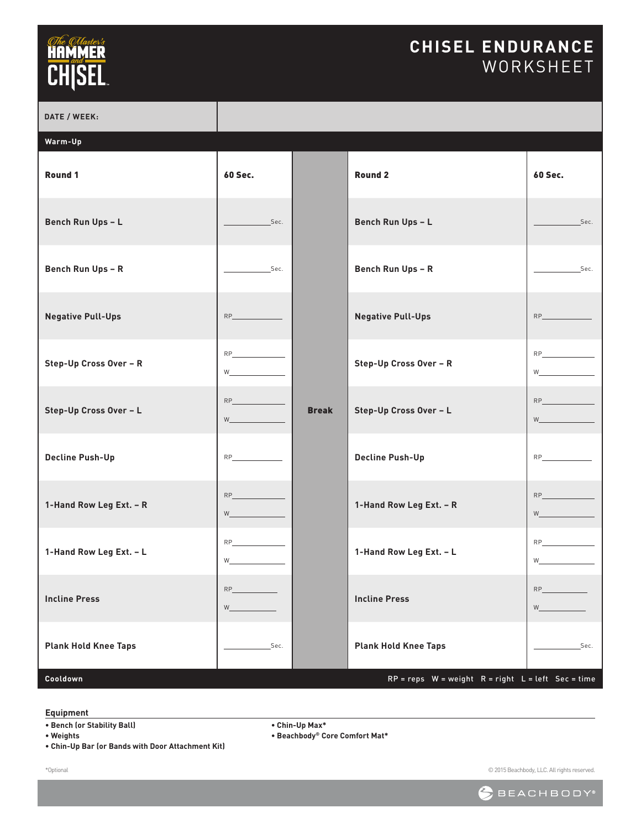### **CHISEL ENDURANCE** WORKSHEET

| DATE / WEEK:                |                                                                                                                                                                                                                                                              |              |                                                        |                                                                                                                                                                                                                                                                |
|-----------------------------|--------------------------------------------------------------------------------------------------------------------------------------------------------------------------------------------------------------------------------------------------------------|--------------|--------------------------------------------------------|----------------------------------------------------------------------------------------------------------------------------------------------------------------------------------------------------------------------------------------------------------------|
| Warm-Up                     |                                                                                                                                                                                                                                                              |              |                                                        |                                                                                                                                                                                                                                                                |
| Round 1                     | <b>60 Sec.</b>                                                                                                                                                                                                                                               |              | Round <sub>2</sub>                                     | <b>60 Sec.</b>                                                                                                                                                                                                                                                 |
| <b>Bench Run Ups - L</b>    | Sec.                                                                                                                                                                                                                                                         |              | Bench Run Ups - L                                      | Sec.                                                                                                                                                                                                                                                           |
| <b>Bench Run Ups - R</b>    | Sec.                                                                                                                                                                                                                                                         |              | <b>Bench Run Ups - R</b>                               | Sec.                                                                                                                                                                                                                                                           |
| <b>Negative Pull-Ups</b>    | $RP$                                                                                                                                                                                                                                                         |              | <b>Negative Pull-Ups</b>                               | $RP$                                                                                                                                                                                                                                                           |
| Step-Up Cross Over - R      | $RP \underline{\hspace{2cm}}$<br>$W_1$ and $W_2$ and $W_3$ and $W_4$ and $W_5$ and $W_6$ and $W_7$ and $W_8$ and $W_9$ and $W_9$ and $W_9$ and $W_9$ and $W_9$ and $W_9$ and $W_9$ and $W_9$ and $W_9$ and $W_9$ and $W_9$ and $W_9$ and $W_9$ and $W_9$ and |              | Step-Up Cross Over - R                                 | $W_1$ and $W_2$ and $W_3$ and $W_4$ and $W_5$ and $W_6$ and $W_7$ and $W_8$ and $W_9$ and $W_9$ and $W_9$ and $W_9$ and $W_9$ and $W_9$ and $W_9$ and $W_9$ and $W_9$ and $W_9$ and $W_9$ and $W_9$ and $W_9$ and $W_9$ and                                    |
| Step-Up Cross Over - L      |                                                                                                                                                                                                                                                              | <b>Break</b> | Step-Up Cross Over - L                                 | $W$ and $W$                                                                                                                                                                                                                                                    |
| <b>Decline Push-Up</b>      | $RP$                                                                                                                                                                                                                                                         |              | <b>Decline Push-Up</b>                                 | RP <sub>ress</sub> and the state of the state of the state of the state of the state of the state of the state of the state of the state of the state of the state of the state of the state of the state of the state of the state of t                       |
| 1-Hand Row Leg Ext. - R     | <b>W</b>                                                                                                                                                                                                                                                     |              | 1-Hand Row Leg Ext. - R                                | <b>W W</b>                                                                                                                                                                                                                                                     |
| 1-Hand Row Leg Ext. - L     | $\mathsf{RP}\textcolor{red}{\_\!\textcolor{blue}{\textbf{RP}\textcolor{blue}{\_\!\textbf{P}}\textcolor{blue}{\textbf{R}}\textcolor{blue}{\textbf{P}}\textcolor{blue}{\textbf{P}}}}$<br>$W_1$ and $W_2$ and $W_3$ and $W_4$                                   |              | 1-Hand Row Leg Ext. - L                                | $RP$ and $RP$ and $RP$ and $RP$ and $RP$ and $RP$ and $RP$ and $RP$ and $RP$ and $RP$ and $RP$ and $RP$ and $RP$ and $RP$ and $RP$ and $RP$ and $RP$ and $RP$ and $RP$ and $RP$ and $RP$ and $RP$ and $RP$ and $RP$ and $RP$ and $RP$ and $RP$ and $RP$ a<br>W |
| <b>Incline Press</b>        |                                                                                                                                                                                                                                                              |              | <b>Incline Press</b>                                   | $W_{\underline{\hspace{1cm}}\phantom{\begin{array}{cccccccccc} \phantom{\begin{array}{cccccccccc} \end{array}} & \cdots} }$                                                                                                                                    |
| <b>Plank Hold Knee Taps</b> | Sec.                                                                                                                                                                                                                                                         |              | <b>Plank Hold Knee Taps</b>                            | Sec.                                                                                                                                                                                                                                                           |
| Cooldown                    |                                                                                                                                                                                                                                                              |              | $RP = reps$ W = weight $R = right$ L = left Sec = time |                                                                                                                                                                                                                                                                |

#### **Equipment**

**• Bench (or Stability Ball)**

**• Weights**

\*Optional

**• Chin-Up Bar (or Bands with Door Attachment Kit)**

**• Chin-Up Max\***

**• Beachbody® Core Comfort Mat\***

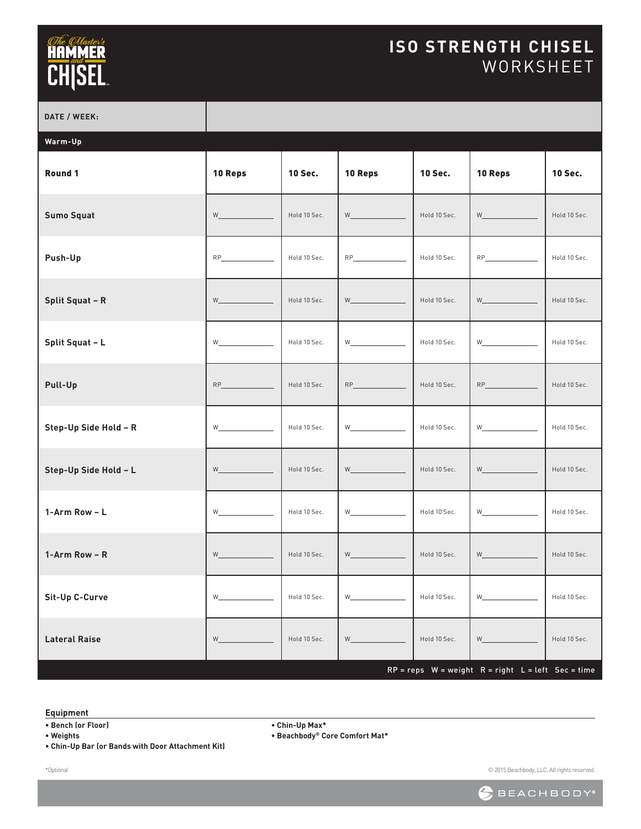### **ISO STRENGTH CHISEL** WORKSHEET

| DATE / WEEK:           |                                                                                                                                                                                                                                         |                |                                                                                                                                                                                                                                          |                |                                                                                                                                                                                                                                                                                                                                                                                  |                |
|------------------------|-----------------------------------------------------------------------------------------------------------------------------------------------------------------------------------------------------------------------------------------|----------------|------------------------------------------------------------------------------------------------------------------------------------------------------------------------------------------------------------------------------------------|----------------|----------------------------------------------------------------------------------------------------------------------------------------------------------------------------------------------------------------------------------------------------------------------------------------------------------------------------------------------------------------------------------|----------------|
| Warm-Up                |                                                                                                                                                                                                                                         |                |                                                                                                                                                                                                                                          |                |                                                                                                                                                                                                                                                                                                                                                                                  |                |
| Round 1                | 10 Reps                                                                                                                                                                                                                                 | <b>10 Sec.</b> | 10 Reps                                                                                                                                                                                                                                  | <b>10 Sec.</b> | 10 Reps                                                                                                                                                                                                                                                                                                                                                                          | <b>10 Sec.</b> |
| <b>Sumo Squat</b>      | $W \underline{\hspace{2cm}}$                                                                                                                                                                                                            | Hold 10 Sec.   | $W$ and the set of $W$                                                                                                                                                                                                                   | Hold 10 Sec.   | <b>W W W W</b>                                                                                                                                                                                                                                                                                                                                                                   | Hold 10 Sec.   |
| Push-Up                | RP                                                                                                                                                                                                                                      | Hold 10 Sec.   | RP                                                                                                                                                                                                                                       | Hold 10 Sec.   | RP                                                                                                                                                                                                                                                                                                                                                                               | Hold 10 Sec.   |
| <b>Split Squat - R</b> | $W \underline{\hspace{2cm}}$                                                                                                                                                                                                            | Hold 10 Sec.   | $W \underline{\hspace{2cm}}$                                                                                                                                                                                                             | Hold 10 Sec.   | $W \begin{tabular}{ c c } \hline \rule{.4cm}{.4cm} \rule{.4cm}{.4cm} \rule{.4cm}{.4cm} \rule{.4cm}{.4cm} \rule{.4cm}{.4cm} \rule{.4cm}{.4cm} \rule{.4cm}{.4cm} \rule{.4cm}{.4cm} \rule{.4cm}{.4cm} \rule{.4cm}{.4cm} \rule{.4cm}{.4cm} \rule{.4cm}{.4cm} \rule{.4cm}{.4cm} \rule{.4cm}{.4cm} \rule{.4cm}{.4cm} \rule{.4cm}{.4cm} \rule{.4cm}{.4cm} \rule{.4cm}{.4cm} \rule{.4cm$ | Hold 10 Sec.   |
| Split Squat - L        | W <sub>2</sub> and the set of the set of the set of the set of the set of the set of the set of the set of the set of the set of the set of the set of the set of the set of the set of the set of the set of the set of the set of the | Hold 10 Sec.   | W <sub>rong</sub> and the contract of the contract of the contract of the contract of the contract of the contract of the contract of the contract of the contract of the contract of the contract of the contract of the contract of th | Hold 10 Sec.   | $W_$                                                                                                                                                                                                                                                                                                                                                                             | Hold 10 Sec.   |
| Pull-Up                |                                                                                                                                                                                                                                         | Hold 10 Sec.   |                                                                                                                                                                                                                                          | Hold 10 Sec.   | RP and the state of the state of the                                                                                                                                                                                                                                                                                                                                             | Hold 10 Sec.   |
| Step-Up Side Hold - R  | $W \underline{\hspace{2cm}}$                                                                                                                                                                                                            | Hold 10 Sec.   |                                                                                                                                                                                                                                          | Hold 10 Sec.   |                                                                                                                                                                                                                                                                                                                                                                                  | Hold 10 Sec.   |
| Step-Up Side Hold - L  | $W \underline{\hspace{2cm}}$                                                                                                                                                                                                            | Hold 10 Sec.   | $W \underline{\hspace{2cm}}$                                                                                                                                                                                                             | Hold 10 Sec.   | $W \underline{\hspace{2cm}}$                                                                                                                                                                                                                                                                                                                                                     | Hold 10 Sec.   |
| 1-Arm Row - L          | $W \underline{\hspace{2cm}}$                                                                                                                                                                                                            | Hold 10 Sec.   |                                                                                                                                                                                                                                          | Hold 10 Sec.   | $W \underline{\hspace{2cm}}$                                                                                                                                                                                                                                                                                                                                                     | Hold 10 Sec.   |
| 1-Arm Row - $R$        | W and the contract of the contract of the                                                                                                                                                                                               | Hold 10 Sec.   | $W$ and the set of $W$                                                                                                                                                                                                                   | Hold 10 Sec.   | $W$ and the set of $W$                                                                                                                                                                                                                                                                                                                                                           | Hold 10 Sec.   |
| Sit-Up C-Curve         | W                                                                                                                                                                                                                                       | Hold 10 Sec.   | W                                                                                                                                                                                                                                        | Hold 10 Sec.   | W <sub>2</sub> and the set of the set of the set of the set of the set of the set of the set of the set of the set of the set of the set of the set of the set of the set of the set of the set of the set of the set of the set of the                                                                                                                                          | Hold 10 Sec.   |
| <b>Lateral Raise</b>   | <b>W</b>                                                                                                                                                                                                                                | Hold 10 Sec.   | $W_{-}$                                                                                                                                                                                                                                  | Hold 10 Sec.   |                                                                                                                                                                                                                                                                                                                                                                                  | Hold 10 Sec.   |
|                        |                                                                                                                                                                                                                                         |                |                                                                                                                                                                                                                                          |                | $RP = reps$ W = weight $R = right$ L = left Sec = time                                                                                                                                                                                                                                                                                                                           |                |

#### **Equipment**

**• Bench (or Floor)**

**• Weights**

**• Chin-Up Bar (or Bands with Door Attachment Kit)**

**• Chin-Up Max\***

**• Beachbody® Core Comfort Mat\***

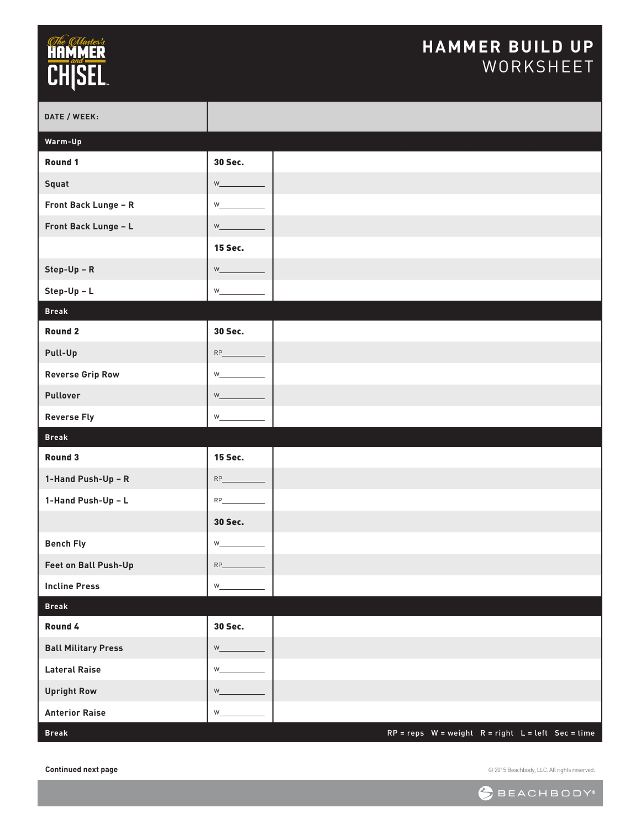### **HAMMER BUILD UP** WORKSHEET

| DATE / WEEK:               |                         |  |                                                        |  |  |
|----------------------------|-------------------------|--|--------------------------------------------------------|--|--|
| Warm-Up                    |                         |  |                                                        |  |  |
| Round 1                    | 30 Sec.                 |  |                                                        |  |  |
| Squat                      | $W$ and $W$             |  |                                                        |  |  |
| Front Back Lunge - R       | W                       |  |                                                        |  |  |
| Front Back Lunge - L       | $W_{\_\_\_\_\$          |  |                                                        |  |  |
|                            | <b>15 Sec.</b>          |  |                                                        |  |  |
| $Step-Up - R$              | W                       |  |                                                        |  |  |
| $Step-Up - L$              | $W_$ and $W_$           |  |                                                        |  |  |
| <b>Break</b>               |                         |  |                                                        |  |  |
| Round 2                    | 30 Sec.                 |  |                                                        |  |  |
| Pull-Up                    | RP                      |  |                                                        |  |  |
| <b>Reverse Grip Row</b>    | $W_{-}$                 |  |                                                        |  |  |
| Pullover                   | W                       |  |                                                        |  |  |
| <b>Reverse Fly</b>         | W                       |  |                                                        |  |  |
| <b>Break</b>               |                         |  |                                                        |  |  |
| Round 3                    | <b>15 Sec.</b>          |  |                                                        |  |  |
| 1-Hand Push-Up - R         | $RP_$                   |  |                                                        |  |  |
| 1-Hand Push-Up - L         |                         |  |                                                        |  |  |
|                            | 30 Sec.                 |  |                                                        |  |  |
| <b>Bench Fly</b>           | $W_{-}$                 |  |                                                        |  |  |
| Feet on Ball Push-Up       | $RP_$                   |  |                                                        |  |  |
| <b>Incline Press</b>       | $\mathsf{W}_\mathsf{=}$ |  |                                                        |  |  |
| <b>Break</b>               |                         |  |                                                        |  |  |
| Round 4                    | 30 Sec.                 |  |                                                        |  |  |
| <b>Ball Military Press</b> | W_                      |  |                                                        |  |  |
| <b>Lateral Raise</b>       | $W_{-}$                 |  |                                                        |  |  |
| <b>Upright Row</b>         | W                       |  |                                                        |  |  |
| <b>Anterior Raise</b>      | W_                      |  |                                                        |  |  |
| <b>Break</b>               |                         |  | $RP = reps$ W = weight $R = right$ L = left Sec = time |  |  |

**Continued next page**

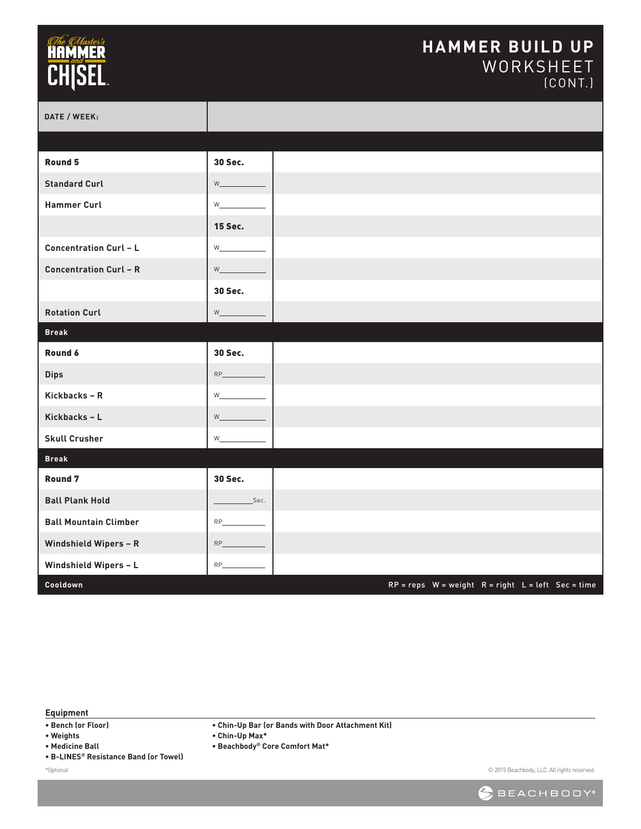## *<i><u>CHe CHaster's*</u><br>**HAMMER**<br>CH|SEL

#### **HAMMER BUILD UP** WORKSHEET (CONT.)

| DATE / WEEK:                  |                                                                                                                                                                                                                                                           |                                                        |
|-------------------------------|-----------------------------------------------------------------------------------------------------------------------------------------------------------------------------------------------------------------------------------------------------------|--------------------------------------------------------|
|                               |                                                                                                                                                                                                                                                           |                                                        |
| Round 5                       | 30 Sec.                                                                                                                                                                                                                                                   |                                                        |
| <b>Standard Curl</b>          | $W$ and $W$                                                                                                                                                                                                                                               |                                                        |
| <b>Hammer Curl</b>            | $W$ and $W$ and $W$ and $W$ and $W$                                                                                                                                                                                                                       |                                                        |
|                               | <b>15 Sec.</b>                                                                                                                                                                                                                                            |                                                        |
| <b>Concentration Curl - L</b> | W <sub>2</sub> and the set of the set of the set of the set of the set of the set of the set of the set of the set of the set of the set of the set of the set of the set of the set of the set of the set of the set of the set of the                   |                                                        |
| <b>Concentration Curl - R</b> | $W$ and $W$                                                                                                                                                                                                                                               |                                                        |
|                               | <b>30 Sec.</b>                                                                                                                                                                                                                                            |                                                        |
| <b>Rotation Curl</b>          | $\mathsf{w}\_\_\_\_\_\_\$                                                                                                                                                                                                                                 |                                                        |
| <b>Break</b>                  |                                                                                                                                                                                                                                                           |                                                        |
| Round 6                       | 30 Sec.                                                                                                                                                                                                                                                   |                                                        |
| <b>Dips</b>                   | $\mathsf{RP}\textcolor{red}{\_\!\_\!\_}\textcolor{red}{\textbf{RP}\textcolor{red}{\_\!\_}\textbf{C}}$                                                                                                                                                     |                                                        |
| Kickbacks - R                 | $W_1$ and $W_2$                                                                                                                                                                                                                                           |                                                        |
| Kickbacks - L                 | <b>William</b>                                                                                                                                                                                                                                            |                                                        |
| <b>Skull Crusher</b>          | W_                                                                                                                                                                                                                                                        |                                                        |
| <b>Break</b>                  |                                                                                                                                                                                                                                                           |                                                        |
| Round <sub>7</sub>            | 30 Sec.                                                                                                                                                                                                                                                   |                                                        |
| <b>Ball Plank Hold</b>        | Sec.                                                                                                                                                                                                                                                      |                                                        |
| <b>Ball Mountain Climber</b>  | $RP$ and $RP$ and $RP$ and $RP$ and $RP$ and $RP$ and $RP$ and $RP$ and $RP$ and $RP$ and $RP$ and $RP$ and $RP$ and $RP$ and $RP$ and $RP$ and $RP$ and $RP$ and $RP$ and $RP$ and $RP$ and $RP$ and $RP$ and $RP$ and $RP$ and $RP$ and $RP$ and $RP$ a |                                                        |
| Windshield Wipers - R         |                                                                                                                                                                                                                                                           |                                                        |
| Windshield Wipers - L         | $RP_$                                                                                                                                                                                                                                                     |                                                        |
| Cooldown                      |                                                                                                                                                                                                                                                           | $RP = reps$ W = weight $R = right$ L = left Sec = time |

**Equipment**

- **Bench (or Floor)**
- **Weights**
- **Medicine Ball**
- **B-LINES® Resistance Band (or Towel)**

\*Optional

**• Chin-Up Bar (or Bands with Door Attachment Kit)**

**• Chin-Up Max\***

**• Beachbody® Core Comfort Mat\***

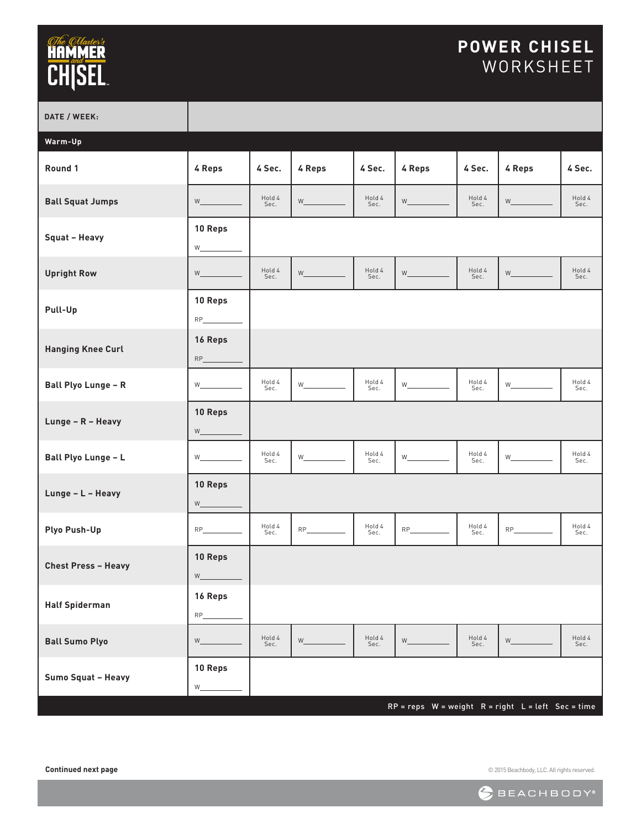# **The Greater's**<br> **CHISEL**

### **POWER CHISEL** WORKSHEET

| DATE / WEEK:               |                                             |                |          |                |          |                |                                                        |                |
|----------------------------|---------------------------------------------|----------------|----------|----------------|----------|----------------|--------------------------------------------------------|----------------|
| Warm-Up                    |                                             |                |          |                |          |                |                                                        |                |
| Round 1                    | 4 Reps                                      | 4 Sec.         | 4 Reps   | 4 Sec.         | 4 Reps   | 4 Sec.         | 4 Reps                                                 | 4 Sec.         |
| <b>Ball Squat Jumps</b>    |                                             | Hold 4<br>Sec. | W        | Hold 4<br>Sec. |          | Hold 4<br>Sec. | W                                                      | Hold 4<br>Sec. |
| Squat - Heavy              | 10 Reps                                     |                |          |                |          |                |                                                        |                |
| <b>Upright Row</b>         |                                             | Hold 4<br>Sec. |          | Hold 4<br>Sec. |          | Hold 4<br>Sec. | $W$ and $W$                                            | Hold 4<br>Sec. |
| Pull-Up                    | 10 Reps                                     |                |          |                |          |                |                                                        |                |
| <b>Hanging Knee Curl</b>   | 16 Reps                                     |                |          |                |          |                |                                                        |                |
| <b>Ball Plyo Lunge - R</b> | W <sub>2</sub>                              | Hold 4<br>Sec. | <b>W</b> | Hold 4<br>Sec. | <b>W</b> | Hold 4<br>Sec. | $W_{\perp}$ and $W_{\perp}$                            | Hold 4<br>Sec. |
| Lunge - R - Heavy          | 10 Reps<br>$W$ and $W$                      |                |          |                |          |                |                                                        |                |
| Ball Plyo Lunge - L        |                                             | Hold 4<br>Sec. | W        | Hold 4<br>Sec. | W        | Hold 4<br>Sec. |                                                        | Hold 4<br>Sec. |
| Lunge - L - Heavy          | 10 Reps<br>$W$ and $W$                      |                |          |                |          |                |                                                        |                |
| Plyo Push-Up               |                                             | Hold 4<br>Sec. |          | Hold 4<br>Sec. |          | Hold 4<br>Sec. |                                                        | Hold 4<br>Sec. |
| <b>Chest Press - Heavy</b> | 10 Reps<br>$\mathsf{W}_{\underline{\quad}}$ |                |          |                |          |                |                                                        |                |
| <b>Half Spiderman</b>      | 16 Reps<br>$RP_$                            |                |          |                |          |                |                                                        |                |
| <b>Ball Sumo Plyo</b>      | $W_{-}$                                     | Hold 4<br>Sec. | $W_{-}$  | Hold 4<br>Sec. | $W_{-}$  | Hold 4<br>Sec. |                                                        | Hold 4<br>Sec. |
| Sumo Squat - Heavy         | 10 Reps<br>$W_{-}$                          |                |          |                |          |                |                                                        |                |
|                            |                                             |                |          |                |          |                | $RP = reps$ W = weight $R = right$ L = left Sec = time |                |

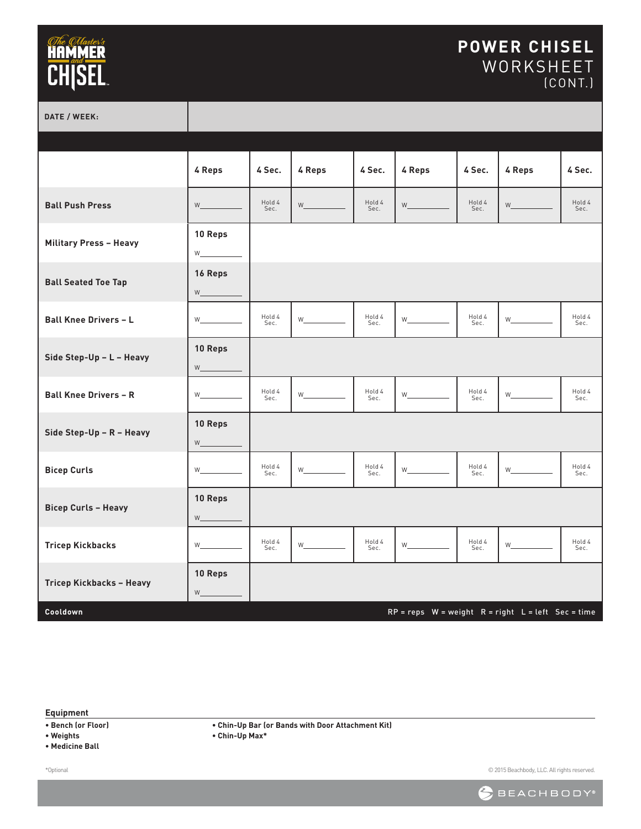#### **POWER CHISEL** WORKSHEET (CONT.)

**DATE / WEEK:**

|                               | 4 Reps                                  | 4 Sec.         | 4 Reps                   | 4 Sec.         | 4 Reps                                    | 4 Sec.         | 4 Reps                                                 | 4 Sec.         |
|-------------------------------|-----------------------------------------|----------------|--------------------------|----------------|-------------------------------------------|----------------|--------------------------------------------------------|----------------|
| <b>Ball Push Press</b>        | W                                       | Hold 4<br>Sec. | <b>William Community</b> | Hold 4<br>Sec. | $W$ and $W$                               | Hold 4<br>Sec. | <b>William Community</b>                               | Hold 4<br>Sec. |
| <b>Military Press - Heavy</b> | 10 Reps<br>$W \underline{\hspace{2cm}}$ |                |                          |                |                                           |                |                                                        |                |
| <b>Ball Seated Toe Tap</b>    | 16 Reps                                 |                |                          |                |                                           |                |                                                        |                |
| <b>Ball Knee Drivers - L</b>  | $W$ and $W$                             | Hold 4<br>Sec. | $W$ and $W$              | Hold 4<br>Sec. |                                           | Hold 4<br>Sec. | $W_{\perp}$ and $W_{\perp}$                            | Hold 4<br>Sec. |
| Side Step-Up - L - Heavy      | 10 Reps<br>$W \underline{\hspace{2cm}}$ |                |                          |                |                                           |                |                                                        |                |
| <b>Ball Knee Drivers - R</b>  |                                         | Hold 4<br>Sec. | $W_{\perp}$              | Hold 4<br>Sec. | $W_{\underline{\hspace{1cm}}\phantom{1}}$ | Hold 4<br>Sec. |                                                        | Hold 4<br>Sec. |
| Side Step-Up - R - Heavy      | 10 Reps                                 |                |                          |                |                                           |                |                                                        |                |
| <b>Bicep Curls</b>            | $W$ and $W$                             | Hold 4<br>Sec. |                          | Hold 4<br>Sec. |                                           | Hold 4<br>Sec. |                                                        | Hold 4<br>Sec. |
| <b>Bicep Curls - Heavy</b>    | 10 Reps<br>$W \underline{\hspace{2cm}}$ |                |                          |                |                                           |                |                                                        |                |
| <b>Tricep Kickbacks</b>       | $W_$                                    | Hold 4<br>Sec. | $W_{\perp}$              | Hold 4<br>Sec. | $W$ <sub>________</sub>                   | Hold 4<br>Sec. | $W$ <sub>________</sub>                                | Hold 4<br>Sec. |
| Tricep Kickbacks - Heavy      | 10 Reps<br>W                            |                |                          |                |                                           |                |                                                        |                |
| Cooldown                      |                                         |                |                          |                |                                           |                | $RP = reps$ W = weight $R = right$ L = left Sec = time |                |

**Equipment**

**• Bench (or Floor)**

**• Weights**

**• Medicine Ball**

**• Chin-Up Bar (or Bands with Door Attachment Kit)**

**• Chin-Up Max\***

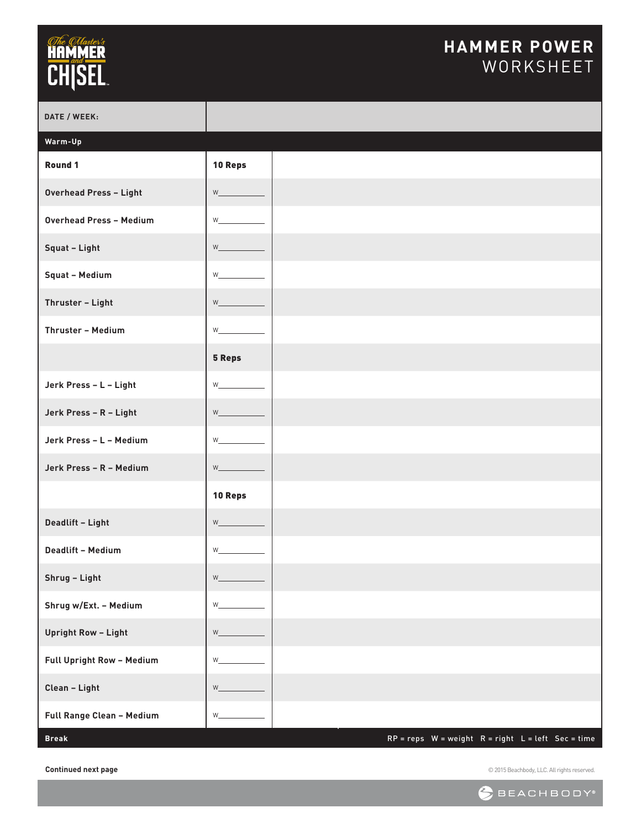### **HAMMER POWER** WORKSHEET

| DATE / WEEK:                   |              |  |                                                        |  |  |
|--------------------------------|--------------|--|--------------------------------------------------------|--|--|
| Warm-Up                        |              |  |                                                        |  |  |
| Round 1                        | 10 Reps      |  |                                                        |  |  |
| <b>Overhead Press - Light</b>  | W_           |  |                                                        |  |  |
| <b>Overhead Press - Medium</b> | W            |  |                                                        |  |  |
| Squat - Light                  | $W_{-}$      |  |                                                        |  |  |
| Squat - Medium                 | $W_{-}$      |  |                                                        |  |  |
| Thruster - Light               | W            |  |                                                        |  |  |
| Thruster - Medium              | $W_{-}$      |  |                                                        |  |  |
|                                | 5 Reps       |  |                                                        |  |  |
| Jerk Press - L - Light         | $W$ and $W$  |  |                                                        |  |  |
| Jerk Press - R - Light         | W            |  |                                                        |  |  |
| Jerk Press - L - Medium        | W_           |  |                                                        |  |  |
| Jerk Press - R - Medium        | $W_{-}$      |  |                                                        |  |  |
|                                | 10 Reps      |  |                                                        |  |  |
| Deadlift - Light               | $W$ $\qquad$ |  |                                                        |  |  |
| <b>Deadlift - Medium</b>       | W            |  |                                                        |  |  |
| Shrug - Light                  | $W_{-}$      |  |                                                        |  |  |
| Shrug w/Ext. - Medium          | W            |  |                                                        |  |  |
| <b>Upright Row - Light</b>     | $W_{-}$      |  |                                                        |  |  |
| Full Upright Row - Medium      | $W_{-}$      |  |                                                        |  |  |
| Clean - Light                  | $W_{-}$      |  |                                                        |  |  |
| Full Range Clean - Medium      | $W_{-}$      |  |                                                        |  |  |
| <b>Break</b>                   |              |  | $RP = reps$ W = weight $R = right$ L = left Sec = time |  |  |

**Continued next page**

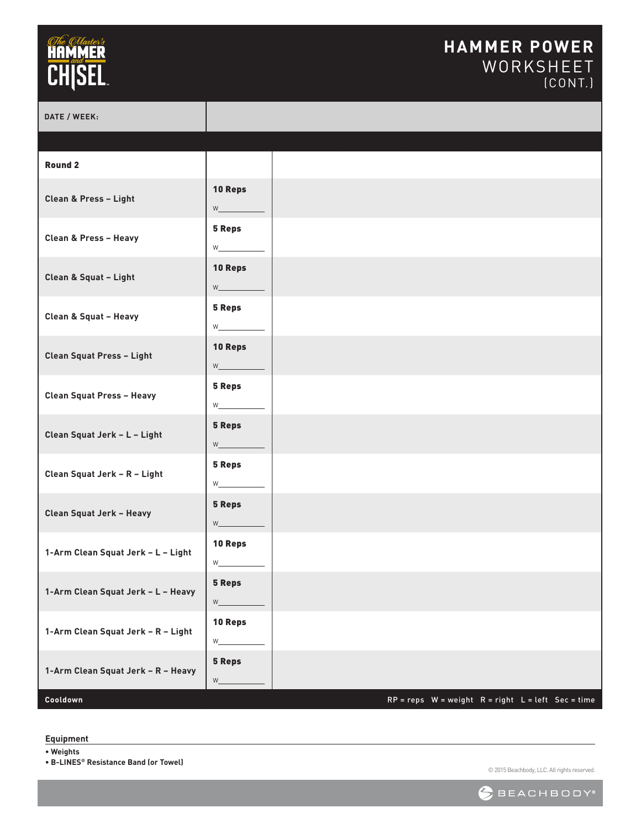#### **HAMMER POWER** WORKSHEET (CONT.)

| DATE / WEEK:                       |                                                                                                                                                                                                                                               |                                                        |  |
|------------------------------------|-----------------------------------------------------------------------------------------------------------------------------------------------------------------------------------------------------------------------------------------------|--------------------------------------------------------|--|
|                                    |                                                                                                                                                                                                                                               |                                                        |  |
| <b>Round 2</b>                     |                                                                                                                                                                                                                                               |                                                        |  |
| Clean & Press - Light              | 10 Reps<br>$W_{\_\_\_\_\}$                                                                                                                                                                                                                    |                                                        |  |
| Clean & Press - Heavy              | 5 Reps                                                                                                                                                                                                                                        |                                                        |  |
| Clean & Squat - Light              | 10 Reps                                                                                                                                                                                                                                       |                                                        |  |
| Clean & Squat - Heavy              | <b>5 Reps</b><br>W <sub>ar</sub>                                                                                                                                                                                                              |                                                        |  |
| Clean Squat Press - Light          | 10 Reps<br><b>W</b> and the second second second second second second second second second second second second second second second second second second second second second second second second second second second second second second |                                                        |  |
| Clean Squat Press - Heavy          | <b>5 Reps</b><br>$W_{\underline{\hspace{1cm}}\phantom{1}}$                                                                                                                                                                                    |                                                        |  |
| Clean Squat Jerk - L - Light       | <b>5 Reps</b><br>$\mathsf{W}\_\_\_\_\_\_\$                                                                                                                                                                                                    |                                                        |  |
| Clean Squat Jerk - R - Light       | 5 Reps                                                                                                                                                                                                                                        |                                                        |  |
| Clean Squat Jerk - Heavy           | 5 Reps                                                                                                                                                                                                                                        |                                                        |  |
| 1-Arm Clean Squat Jerk - L - Light | 10 Reps<br>W                                                                                                                                                                                                                                  |                                                        |  |
| 1-Arm Clean Squat Jerk - L - Heavy | 5 Reps<br>$\mathsf{W}_{\underline{\quad}}$                                                                                                                                                                                                    |                                                        |  |
| 1-Arm Clean Squat Jerk - R - Light | 10 Reps<br>W_                                                                                                                                                                                                                                 |                                                        |  |
| 1-Arm Clean Squat Jerk - R - Heavy | 5 Reps<br>$W_{-}$                                                                                                                                                                                                                             |                                                        |  |
| Cooldown                           |                                                                                                                                                                                                                                               | $RP = reps$ W = weight $R = right$ L = left Sec = time |  |

**Equipment**

**• Weights**

**• B-LINES® Resistance Band (or Towel)**

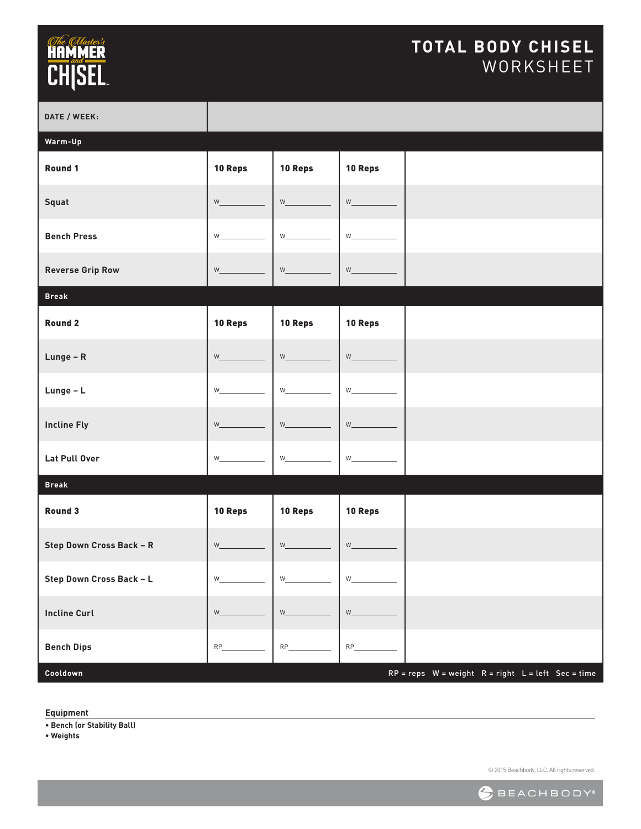### **TOTAL BODY CHISEL** WORKSHEET

| DATE / WEEK:             |                                                                                                                                                                                                                                         |                 |                                  |                                                        |  |
|--------------------------|-----------------------------------------------------------------------------------------------------------------------------------------------------------------------------------------------------------------------------------------|-----------------|----------------------------------|--------------------------------------------------------|--|
| Warm-Up                  |                                                                                                                                                                                                                                         |                 |                                  |                                                        |  |
| Round 1                  | 10 Reps                                                                                                                                                                                                                                 | 10 Reps         | 10 Reps                          |                                                        |  |
| Squat                    | $W$ and $W$                                                                                                                                                                                                                             |                 |                                  |                                                        |  |
| <b>Bench Press</b>       | W <sub>2</sub> and the set of the set of the set of the set of the set of the set of the set of the set of the set of the set of the set of the set of the set of the set of the set of the set of the set of the set of the set of the | $W_1$ and $W_2$ | $W_1$ and $W_2$                  |                                                        |  |
| <b>Reverse Grip Row</b>  | $W$ and $W$                                                                                                                                                                                                                             |                 |                                  |                                                        |  |
| <b>Break</b>             |                                                                                                                                                                                                                                         |                 |                                  |                                                        |  |
| <b>Round 2</b>           | 10 Reps                                                                                                                                                                                                                                 | 10 Reps         | 10 Reps                          |                                                        |  |
| Lunge - R                | $W_1$ and $W_2$                                                                                                                                                                                                                         |                 |                                  |                                                        |  |
| Lunge - L                | $W_1$ and $W_2$                                                                                                                                                                                                                         |                 |                                  |                                                        |  |
| <b>Incline Fly</b>       | $W_{\perp}$ and $W_{\perp}$                                                                                                                                                                                                             | $W_{\perp}$     |                                  |                                                        |  |
| Lat Pull Over            | W <sub>2</sub> and the set of the set of the set of the set of the set of the set of the set of the set of the set of the set of the set of the set of the set of the set of the set of the set of the set of the set of the set of the |                 |                                  |                                                        |  |
| <b>Break</b>             |                                                                                                                                                                                                                                         |                 |                                  |                                                        |  |
| <b>Round 3</b>           | 10 Reps                                                                                                                                                                                                                                 | 10 Reps         | 10 Reps                          |                                                        |  |
| Step Down Cross Back - R |                                                                                                                                                                                                                                         | $W_$ and $W_$   | $W_$ and $W_$                    |                                                        |  |
| Step Down Cross Back - L | $W_{-}$                                                                                                                                                                                                                                 | $W_{-}$         | $W_{-}$                          |                                                        |  |
| <b>Incline Curl</b>      | $W_{-}$                                                                                                                                                                                                                                 | $W_{-}$         | $\mathsf{W}_{\underline{\quad}}$ |                                                        |  |
| <b>Bench Dips</b>        | $RP_$                                                                                                                                                                                                                                   | $RP_$           | $RP_$                            |                                                        |  |
| Cooldown                 |                                                                                                                                                                                                                                         |                 |                                  | $RP = reps$ W = weight $R = right$ L = left Sec = time |  |

**Equipment**

**• Bench (or Stability Ball)**

**• Weights**